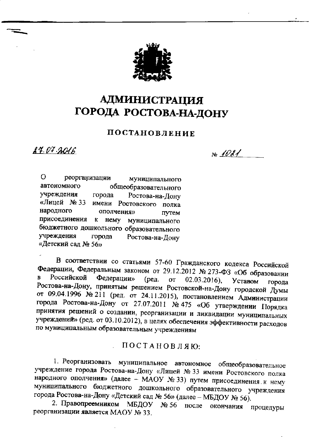

## **АДМИНИСТРАЦИЯ** ГОРОДА РОСТОВА-НА-ДОНУ

## ПОСТАНОВЛЕНИЕ

24.07.2016

 $N_0$  1021

O реорганизации муниципального автономного общеобразовательного учреждения Ростова-на-Дону города «Лицей № 33 имени Ростовского полка народного ополчения» путем присоединения к нему муниципального бюджетного дошкольного образовательного учреждения города Ростова-на-Лону «Детский сад № 56»

В соответствии со статьями 57-60 Гражданского кодекса Российской Федерации, Федеральным законом от 29.12.2012 № 273-ФЗ «Об образовании Российской  $\mathbf{B}$ Федерации»  $($ ред. or  $02.03.2016$ ). Уставом города Ростова-на-Дону, принятым решением Ростовской-на-Дону городской Думы от 09.04.1996 № 211 (ред. от 24.11.2015), постановлением Администрации города Ростова-на-Дону от 27.07.2011 № 475 «Об утверждении Порядка принятия решений о создании, реорганизации и ликвидации муниципальных учреждений» (ред. от 03.10.2012), в целях обеспечения эффективности расходов по муниципальным образовательным учреждениям

ПОСТАНОВЛЯЮ:

1. Реорганизовать муниципальное автономное общеобразовательное учреждение города Ростова-на-Дону «Лицей № 33 имени Ростовского полка народного ополчения» (далее - МАОУ № 33) путем присоединения к нему муниципального бюджетного дошкольного образовательного учреждения города Ростова-на-Дону «Детский сад № 56» (далее - МБДОУ № 56).

2. Правопреемником МБДОУ  $N_2$  56 после окончания процедуры реорганизации является МАОУ № 33.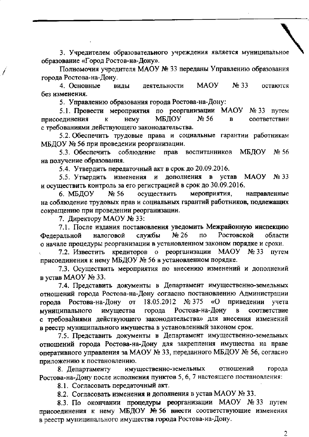3. Учредителем образовательного учреждения является муниципальное образование «Город Ростов-на-Дону».

Полномочия учредителя МАОУ № 33 переданы Управлению образования города Ростова-на-Дону.

**MAOY**  $N<sub>2</sub>$  33 4. Основные виды деятельности остаются без изменения.

5. Управлению образования города Ростова-на-Дону:

5.1. Провести мероприятия по реорганизации МАОУ № 33 путем МБДОУ  $N<sub>2</sub> 56$ присоединения нему  $\mathbf K$  $\overline{\mathbf{B}}$ соответствии с требованиями действующего законодательства.

5.2. Обеспечить трудовые права и социальные гарантии работникам МБДОУ № 56 при проведении реорганизации.

5.3. Обеспечить соблюдение МБДОУ прав No 56 воспитанников на получение образования.

5.4. Утвердить передаточный акт в срок до 20.09.2016.

5.5. Утвердить изменения и дополнения в устав МАОУ № 33 и осуществить контроль за его регистрацией в срок до 30.09.2016.

осуществить 6. МБДОУ  $N<sub>2</sub> 56$ мероприятия, направленные на соблюдение трудовых прав и социальных гарантий работников, подлежащих сокращению при проведении реорганизации.

7. Директору МАОУ № 33:

7.1. После издания постановления уведомить Межрайонную инспекцию Ростовской  $Ne<sub>26</sub>$ по области Федеральной налоговой службы о начале процедуры реорганизации в установленном законом порядке и сроки.

7.2. Известить кредиторов о реорганизации МАОУ  $Ne 33$  путем присоединения к нему МБДОУ № 56 в установленном порядке.

7.3. Осуществить мероприятия по внесению изменений и дополнений в устав МАОУ № 33.

7.4. Представить документы в Департамент имущественно-земельных отношений города Ростова-на-Дону согласно постановлению Администрации города Ростова-на-Дону от 18.05.2012 № 375 «O приведении учета города Ростова-на-Дону имущества муниципального  $\mathbf{B}$ соответствие с требованиями действующего законодательства» для внесения изменений в реестр муниципального имущества в установленный законом срок.

7.5. Представить документы в Департамент имущественно-земельных отношений города Ростова-на-Дону для закрепления имущества на праве оперативного управления за МАОУ № 33, переданного МБДОУ № 56, согласно приложению к постановлению.

8. Департаменту имущественно-земельных отношений города Ростова-на-Дону после исполнения пунктов 5, 6, 7 настоящего постановления:

8.1. Согласовать передаточный акт.

8.2. Согласовать изменения и дополнения в устав МАОУ № 33.

8.3. По окончании процедуры реорганизации МАОУ № 33 путем присоединения к нему МБДОУ № 56 внести соответствующие изменения в реестр муниципального имущества города Ростова-на-Дону.